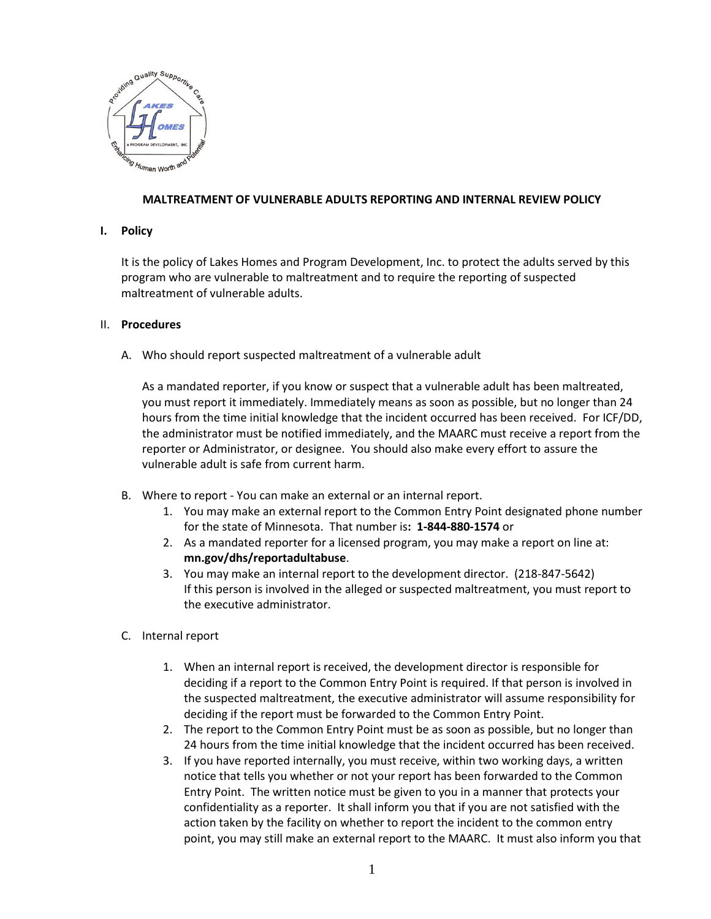

## **MALTREATMENT OF VULNERABLE ADULTS REPORTING AND INTERNAL REVIEW POLICY**

#### **I. Policy**

It is the policy of Lakes Homes and Program Development, Inc. to protect the adults served by this program who are vulnerable to maltreatment and to require the reporting of suspected maltreatment of vulnerable adults.

## II. **Procedures**

A. Who should report suspected maltreatment of a vulnerable adult

As a mandated reporter, if you know or suspect that a vulnerable adult has been maltreated, you must report it immediately. Immediately means as soon as possible, but no longer than 24 hours from the time initial knowledge that the incident occurred has been received. For ICF/DD, the administrator must be notified immediately, and the MAARC must receive a report from the reporter or Administrator, or designee. You should also make every effort to assure the vulnerable adult is safe from current harm.

- B. Where to report You can make an external or an internal report.
	- 1. You may make an external report to the Common Entry Point designated phone number for the state of Minnesota. That number is**: 1-844-880-1574** or
	- 2. As a mandated reporter for a licensed program, you may make a report on line at: **mn.gov/dhs/reportadultabuse**.
	- 3. You may make an internal report to the development director. (218-847-5642) If this person is involved in the alleged or suspected maltreatment, you must report to the executive administrator.
- C. Internal report
	- 1. When an internal report is received, the development director is responsible for deciding if a report to the Common Entry Point is required. If that person is involved in the suspected maltreatment, the executive administrator will assume responsibility for deciding if the report must be forwarded to the Common Entry Point.
	- 2. The report to the Common Entry Point must be as soon as possible, but no longer than 24 hours from the time initial knowledge that the incident occurred has been received.
	- 3. If you have reported internally, you must receive, within two working days, a written notice that tells you whether or not your report has been forwarded to the Common Entry Point. The written notice must be given to you in a manner that protects your confidentiality as a reporter. It shall inform you that if you are not satisfied with the action taken by the facility on whether to report the incident to the common entry point, you may still make an external report to the MAARC. It must also inform you that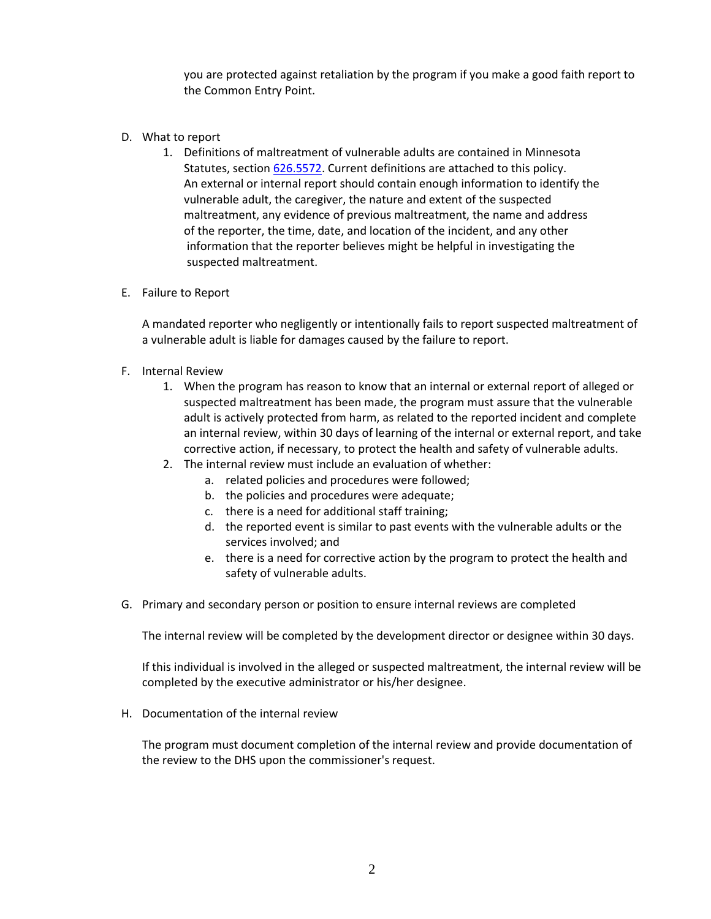you are protected against retaliation by the program if you make a good faith report to the Common Entry Point.

- D. What to report
	- 1. Definitions of maltreatment of vulnerable adults are contained in Minnesota Statutes, section [626.5572.](https://www.revisor.mn.gov/statutes/?id=626.5572) Current definitions are attached to this policy. An external or internal report should contain enough information to identify the vulnerable adult, the caregiver, the nature and extent of the suspected maltreatment, any evidence of previous maltreatment, the name and address of the reporter, the time, date, and location of the incident, and any other information that the reporter believes might be helpful in investigating the suspected maltreatment.
- E. Failure to Report

A mandated reporter who negligently or intentionally fails to report suspected maltreatment of a vulnerable adult is liable for damages caused by the failure to report.

- F. Internal Review
	- 1. When the program has reason to know that an internal or external report of alleged or suspected maltreatment has been made, the program must assure that the vulnerable adult is actively protected from harm, as related to the reported incident and complete an internal review, within 30 days of learning of the internal or external report, and take corrective action, if necessary, to protect the health and safety of vulnerable adults.
	- 2. The internal review must include an evaluation of whether:
		- a. related policies and procedures were followed;
		- b. the policies and procedures were adequate;
		- c. there is a need for additional staff training;
		- d. the reported event is similar to past events with the vulnerable adults or the services involved; and
		- e. there is a need for corrective action by the program to protect the health and safety of vulnerable adults.
- G. Primary and secondary person or position to ensure internal reviews are completed

The internal review will be completed by the development director or designee within 30 days.

If this individual is involved in the alleged or suspected maltreatment, the internal review will be completed by the executive administrator or his/her designee.

H. Documentation of the internal review

The program must document completion of the internal review and provide documentation of the review to the DHS upon the commissioner's request.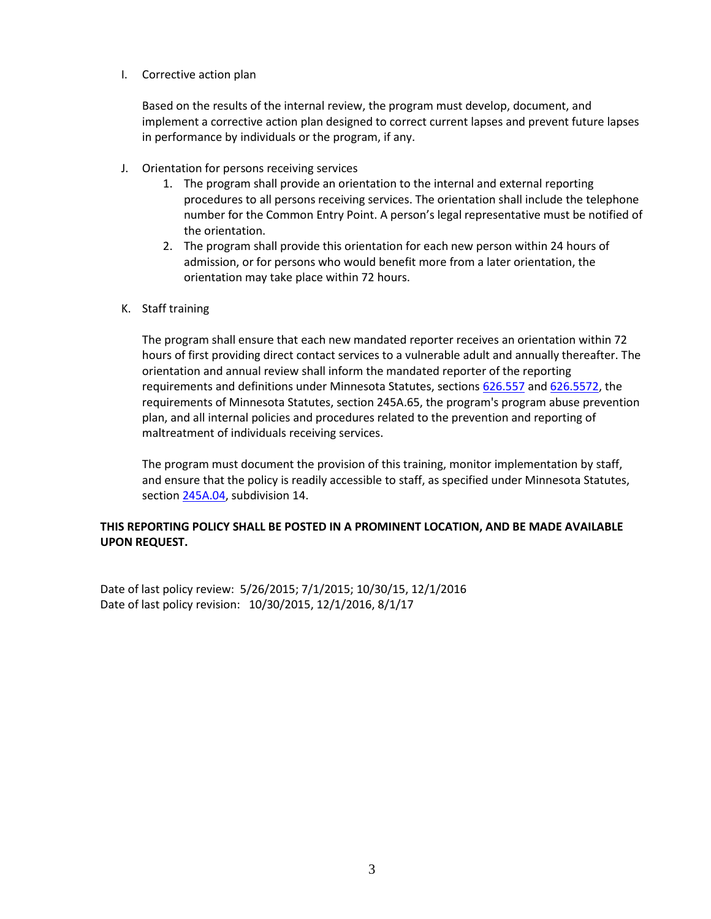## I. Corrective action plan

Based on the results of the internal review, the program must develop, document, and implement a corrective action plan designed to correct current lapses and prevent future lapses in performance by individuals or the program, if any.

- J. Orientation for persons receiving services
	- 1. The program shall provide an orientation to the internal and external reporting procedures to all persons receiving services. The orientation shall include the telephone number for the Common Entry Point. A person's legal representative must be notified of the orientation.
	- 2. The program shall provide this orientation for each new person within 24 hours of admission, or for persons who would benefit more from a later orientation, the orientation may take place within 72 hours.
- K. Staff training

The program shall ensure that each new mandated reporter receives an orientation within 72 hours of first providing direct contact services to a vulnerable adult and annually thereafter. The orientation and annual review shall inform the mandated reporter of the reporting requirements and definitions under Minnesota Statutes, sections [626.557](https://www.revisor.mn.gov/statutes/?id=626.557) and [626.5572,](https://www.revisor.mn.gov/statutes/?id=626.5572) the requirements of Minnesota Statutes, section 245A.65, the program's program abuse prevention plan, and all internal policies and procedures related to the prevention and reporting of maltreatment of individuals receiving services.

The program must document the provision of this training, monitor implementation by staff, and ensure that the policy is readily accessible to staff, as specified under Minnesota Statutes, section [245A.04,](https://www.revisor.mn.gov/statutes/?id=245A.04) subdivision 14.

# **THIS REPORTING POLICY SHALL BE POSTED IN A PROMINENT LOCATION, AND BE MADE AVAILABLE UPON REQUEST.**

Date of last policy review: 5/26/2015; 7/1/2015; 10/30/15, 12/1/2016 Date of last policy revision: 10/30/2015, 12/1/2016, 8/1/17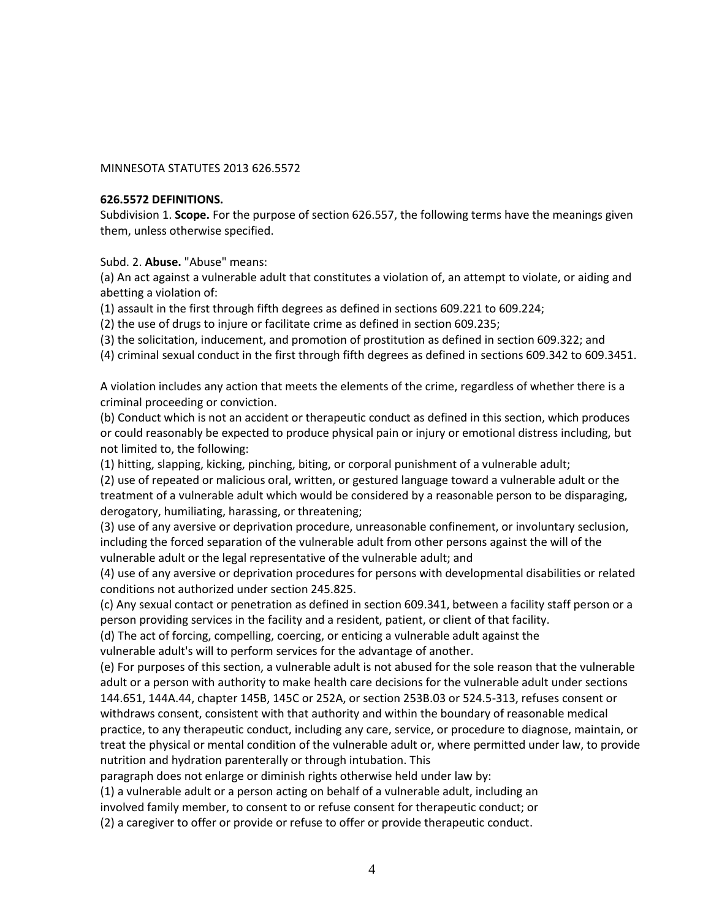## MINNESOTA STATUTES 2013 626.5572

#### **626.5572 DEFINITIONS.**

Subdivision 1. **Scope.** For the purpose of section 626.557, the following terms have the meanings given them, unless otherwise specified.

Subd. 2. **Abuse.** "Abuse" means:

(a) An act against a vulnerable adult that constitutes a violation of, an attempt to violate, or aiding and abetting a violation of:

(1) assault in the first through fifth degrees as defined in sections 609.221 to 609.224;

(2) the use of drugs to injure or facilitate crime as defined in section 609.235;

(3) the solicitation, inducement, and promotion of prostitution as defined in section 609.322; and

(4) criminal sexual conduct in the first through fifth degrees as defined in sections 609.342 to 609.3451.

A violation includes any action that meets the elements of the crime, regardless of whether there is a criminal proceeding or conviction.

(b) Conduct which is not an accident or therapeutic conduct as defined in this section, which produces or could reasonably be expected to produce physical pain or injury or emotional distress including, but not limited to, the following:

(1) hitting, slapping, kicking, pinching, biting, or corporal punishment of a vulnerable adult;

(2) use of repeated or malicious oral, written, or gestured language toward a vulnerable adult or the treatment of a vulnerable adult which would be considered by a reasonable person to be disparaging, derogatory, humiliating, harassing, or threatening;

(3) use of any aversive or deprivation procedure, unreasonable confinement, or involuntary seclusion, including the forced separation of the vulnerable adult from other persons against the will of the vulnerable adult or the legal representative of the vulnerable adult; and

(4) use of any aversive or deprivation procedures for persons with developmental disabilities or related conditions not authorized under section 245.825.

(c) Any sexual contact or penetration as defined in section 609.341, between a facility staff person or a person providing services in the facility and a resident, patient, or client of that facility.

(d) The act of forcing, compelling, coercing, or enticing a vulnerable adult against the

vulnerable adult's will to perform services for the advantage of another.

(e) For purposes of this section, a vulnerable adult is not abused for the sole reason that the vulnerable adult or a person with authority to make health care decisions for the vulnerable adult under sections 144.651, 144A.44, chapter 145B, 145C or 252A, or section 253B.03 or 524.5-313, refuses consent or withdraws consent, consistent with that authority and within the boundary of reasonable medical practice, to any therapeutic conduct, including any care, service, or procedure to diagnose, maintain, or treat the physical or mental condition of the vulnerable adult or, where permitted under law, to provide nutrition and hydration parenterally or through intubation. This

paragraph does not enlarge or diminish rights otherwise held under law by:

(1) a vulnerable adult or a person acting on behalf of a vulnerable adult, including an

involved family member, to consent to or refuse consent for therapeutic conduct; or

(2) a caregiver to offer or provide or refuse to offer or provide therapeutic conduct.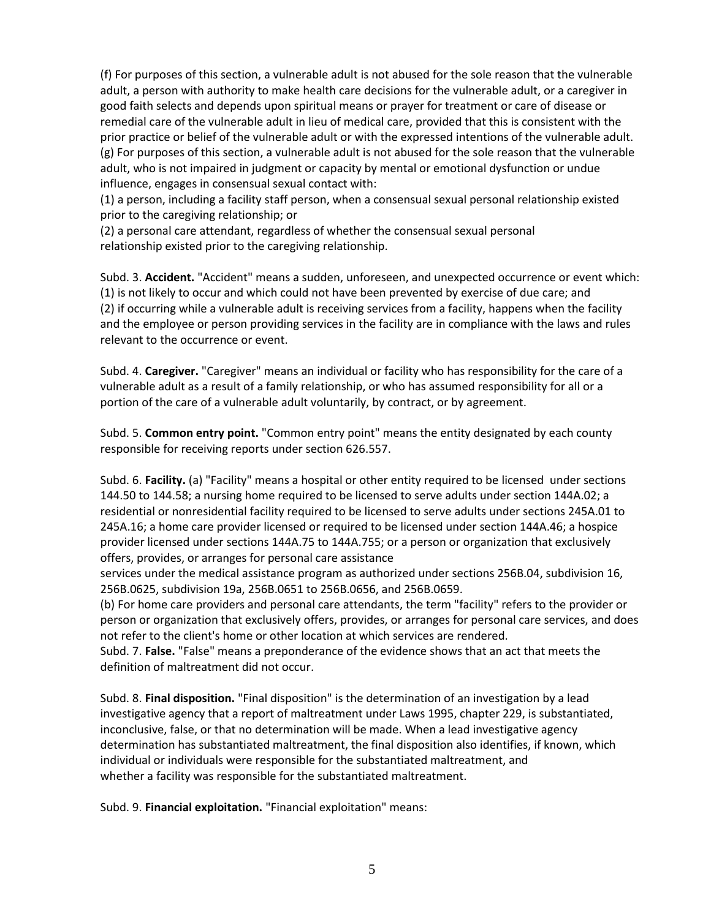(f) For purposes of this section, a vulnerable adult is not abused for the sole reason that the vulnerable adult, a person with authority to make health care decisions for the vulnerable adult, or a caregiver in good faith selects and depends upon spiritual means or prayer for treatment or care of disease or remedial care of the vulnerable adult in lieu of medical care, provided that this is consistent with the prior practice or belief of the vulnerable adult or with the expressed intentions of the vulnerable adult. (g) For purposes of this section, a vulnerable adult is not abused for the sole reason that the vulnerable adult, who is not impaired in judgment or capacity by mental or emotional dysfunction or undue influence, engages in consensual sexual contact with:

(1) a person, including a facility staff person, when a consensual sexual personal relationship existed prior to the caregiving relationship; or

(2) a personal care attendant, regardless of whether the consensual sexual personal relationship existed prior to the caregiving relationship.

Subd. 3. **Accident.** "Accident" means a sudden, unforeseen, and unexpected occurrence or event which: (1) is not likely to occur and which could not have been prevented by exercise of due care; and (2) if occurring while a vulnerable adult is receiving services from a facility, happens when the facility and the employee or person providing services in the facility are in compliance with the laws and rules relevant to the occurrence or event.

Subd. 4. **Caregiver.** "Caregiver" means an individual or facility who has responsibility for the care of a vulnerable adult as a result of a family relationship, or who has assumed responsibility for all or a portion of the care of a vulnerable adult voluntarily, by contract, or by agreement.

Subd. 5. **Common entry point.** "Common entry point" means the entity designated by each county responsible for receiving reports under section 626.557.

Subd. 6. **Facility.** (a) "Facility" means a hospital or other entity required to be licensed under sections 144.50 to 144.58; a nursing home required to be licensed to serve adults under section 144A.02; a residential or nonresidential facility required to be licensed to serve adults under sections 245A.01 to 245A.16; a home care provider licensed or required to be licensed under section 144A.46; a hospice provider licensed under sections 144A.75 to 144A.755; or a person or organization that exclusively offers, provides, or arranges for personal care assistance

services under the medical assistance program as authorized under sections 256B.04, subdivision 16, 256B.0625, subdivision 19a, 256B.0651 to 256B.0656, and 256B.0659.

(b) For home care providers and personal care attendants, the term "facility" refers to the provider or person or organization that exclusively offers, provides, or arranges for personal care services, and does not refer to the client's home or other location at which services are rendered.

Subd. 7. **False.** "False" means a preponderance of the evidence shows that an act that meets the definition of maltreatment did not occur.

Subd. 8. **Final disposition.** "Final disposition" is the determination of an investigation by a lead investigative agency that a report of maltreatment under Laws 1995, chapter 229, is substantiated, inconclusive, false, or that no determination will be made. When a lead investigative agency determination has substantiated maltreatment, the final disposition also identifies, if known, which individual or individuals were responsible for the substantiated maltreatment, and whether a facility was responsible for the substantiated maltreatment.

Subd. 9. **Financial exploitation.** "Financial exploitation" means: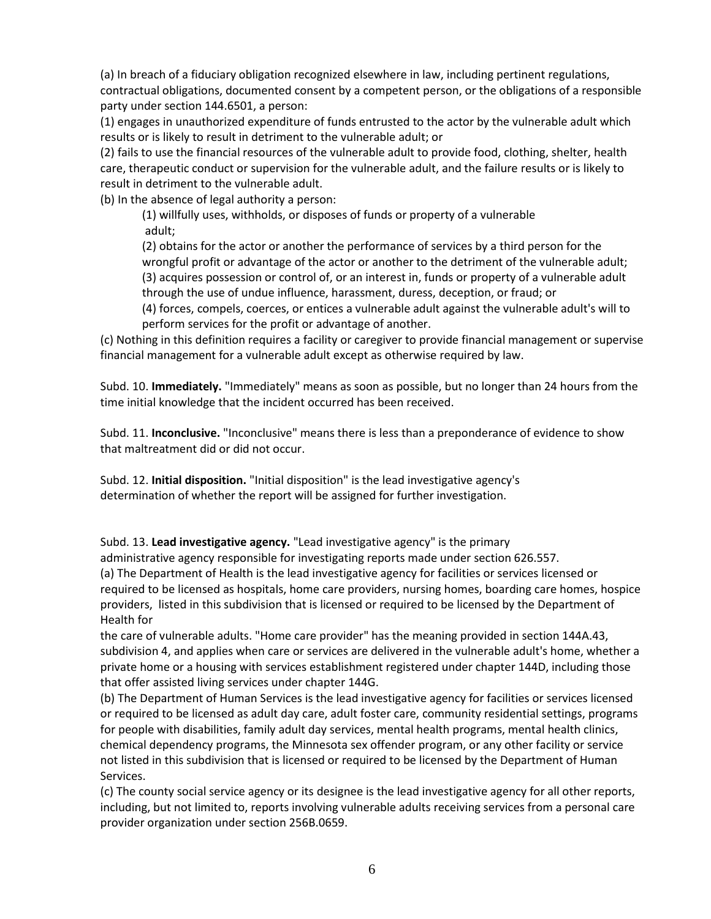(a) In breach of a fiduciary obligation recognized elsewhere in law, including pertinent regulations, contractual obligations, documented consent by a competent person, or the obligations of a responsible party under section 144.6501, a person:

(1) engages in unauthorized expenditure of funds entrusted to the actor by the vulnerable adult which results or is likely to result in detriment to the vulnerable adult; or

(2) fails to use the financial resources of the vulnerable adult to provide food, clothing, shelter, health care, therapeutic conduct or supervision for the vulnerable adult, and the failure results or is likely to result in detriment to the vulnerable adult.

(b) In the absence of legal authority a person:

(1) willfully uses, withholds, or disposes of funds or property of a vulnerable adult;

(2) obtains for the actor or another the performance of services by a third person for the wrongful profit or advantage of the actor or another to the detriment of the vulnerable adult; (3) acquires possession or control of, or an interest in, funds or property of a vulnerable adult

through the use of undue influence, harassment, duress, deception, or fraud; or

(4) forces, compels, coerces, or entices a vulnerable adult against the vulnerable adult's will to perform services for the profit or advantage of another.

(c) Nothing in this definition requires a facility or caregiver to provide financial management or supervise financial management for a vulnerable adult except as otherwise required by law.

Subd. 10. **Immediately.** "Immediately" means as soon as possible, but no longer than 24 hours from the time initial knowledge that the incident occurred has been received.

Subd. 11. **Inconclusive.** "Inconclusive" means there is less than a preponderance of evidence to show that maltreatment did or did not occur.

Subd. 12. **Initial disposition.** "Initial disposition" is the lead investigative agency's determination of whether the report will be assigned for further investigation.

Subd. 13. **Lead investigative agency.** "Lead investigative agency" is the primary

administrative agency responsible for investigating reports made under section 626.557.

(a) The Department of Health is the lead investigative agency for facilities or services licensed or required to be licensed as hospitals, home care providers, nursing homes, boarding care homes, hospice providers, listed in this subdivision that is licensed or required to be licensed by the Department of Health for

the care of vulnerable adults. "Home care provider" has the meaning provided in section 144A.43, subdivision 4, and applies when care or services are delivered in the vulnerable adult's home, whether a private home or a housing with services establishment registered under chapter 144D, including those that offer assisted living services under chapter 144G.

(b) The Department of Human Services is the lead investigative agency for facilities or services licensed or required to be licensed as adult day care, adult foster care, community residential settings, programs for people with disabilities, family adult day services, mental health programs, mental health clinics, chemical dependency programs, the Minnesota sex offender program, or any other facility or service not listed in this subdivision that is licensed or required to be licensed by the Department of Human Services.

(c) The county social service agency or its designee is the lead investigative agency for all other reports, including, but not limited to, reports involving vulnerable adults receiving services from a personal care provider organization under section 256B.0659.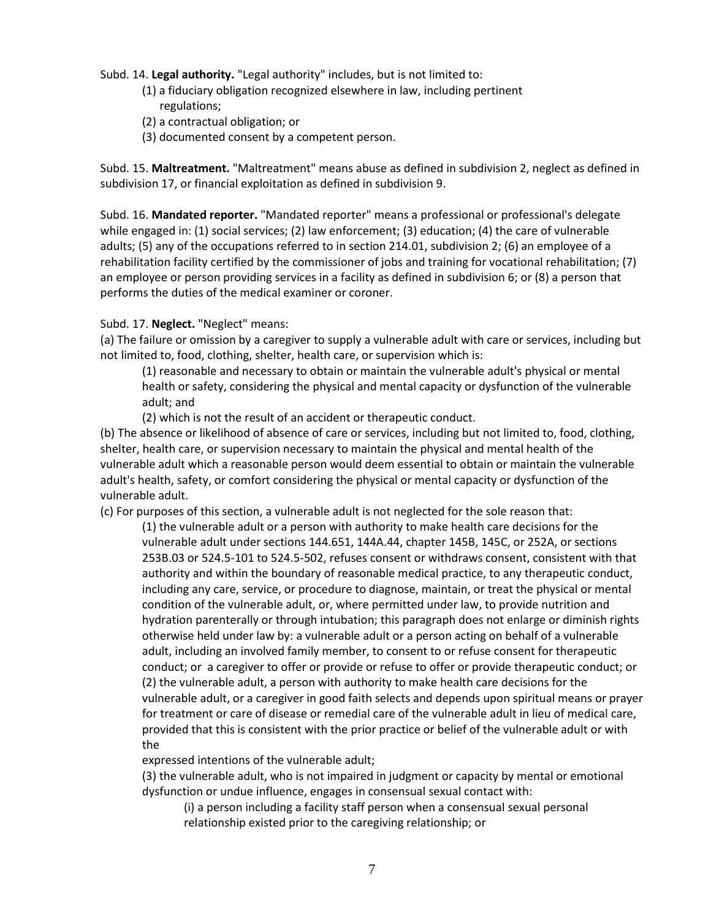## Subd. 14. **Legal authority.** "Legal authority" includes, but is not limited to:

- (1) a fiduciary obligation recognized elsewhere in law, including pertinent regulations;
- (2) a contractual obligation; or
- (3) documented consent by a competent person.

Subd. 15. **Maltreatment.** "Maltreatment" means abuse as defined in subdivision 2, neglect as defined in subdivision 17, or financial exploitation as defined in subdivision 9.

Subd. 16. **Mandated reporter.** "Mandated reporter" means a professional or professional's delegate while engaged in: (1) social services; (2) law enforcement; (3) education; (4) the care of vulnerable adults; (5) any of the occupations referred to in section 214.01, subdivision 2; (6) an employee of a rehabilitation facility certified by the commissioner of jobs and training for vocational rehabilitation; (7) an employee or person providing services in a facility as defined in subdivision 6; or (8) a person that performs the duties of the medical examiner or coroner.

# Subd. 17. **Neglect.** "Neglect" means:

(a) The failure or omission by a caregiver to supply a vulnerable adult with care or services, including but not limited to, food, clothing, shelter, health care, or supervision which is:

(1) reasonable and necessary to obtain or maintain the vulnerable adult's physical or mental health or safety, considering the physical and mental capacity or dysfunction of the vulnerable adult; and

(2) which is not the result of an accident or therapeutic conduct.

(b) The absence or likelihood of absence of care or services, including but not limited to, food, clothing, shelter, health care, or supervision necessary to maintain the physical and mental health of the vulnerable adult which a reasonable person would deem essential to obtain or maintain the vulnerable adult's health, safety, or comfort considering the physical or mental capacity or dysfunction of the vulnerable adult.

(c) For purposes of this section, a vulnerable adult is not neglected for the sole reason that:

(1) the vulnerable adult or a person with authority to make health care decisions for the vulnerable adult under sections 144.651, 144A.44, chapter 145B, 145C, or 252A, or sections 253B.03 or 524.5-101 to 524.5-502, refuses consent or withdraws consent, consistent with that authority and within the boundary of reasonable medical practice, to any therapeutic conduct, including any care, service, or procedure to diagnose, maintain, or treat the physical or mental condition of the vulnerable adult, or, where permitted under law, to provide nutrition and hydration parenterally or through intubation; this paragraph does not enlarge or diminish rights otherwise held under law by: a vulnerable adult or a person acting on behalf of a vulnerable adult, including an involved family member, to consent to or refuse consent for therapeutic conduct; or a caregiver to offer or provide or refuse to offer or provide therapeutic conduct; or (2) the vulnerable adult, a person with authority to make health care decisions for the vulnerable adult, or a caregiver in good faith selects and depends upon spiritual means or prayer for treatment or care of disease or remedial care of the vulnerable adult in lieu of medical care, provided that this is consistent with the prior practice or belief of the vulnerable adult or with the

expressed intentions of the vulnerable adult;

(3) the vulnerable adult, who is not impaired in judgment or capacity by mental or emotional dysfunction or undue influence, engages in consensual sexual contact with:

(i) a person including a facility staff person when a consensual sexual personal relationship existed prior to the caregiving relationship; or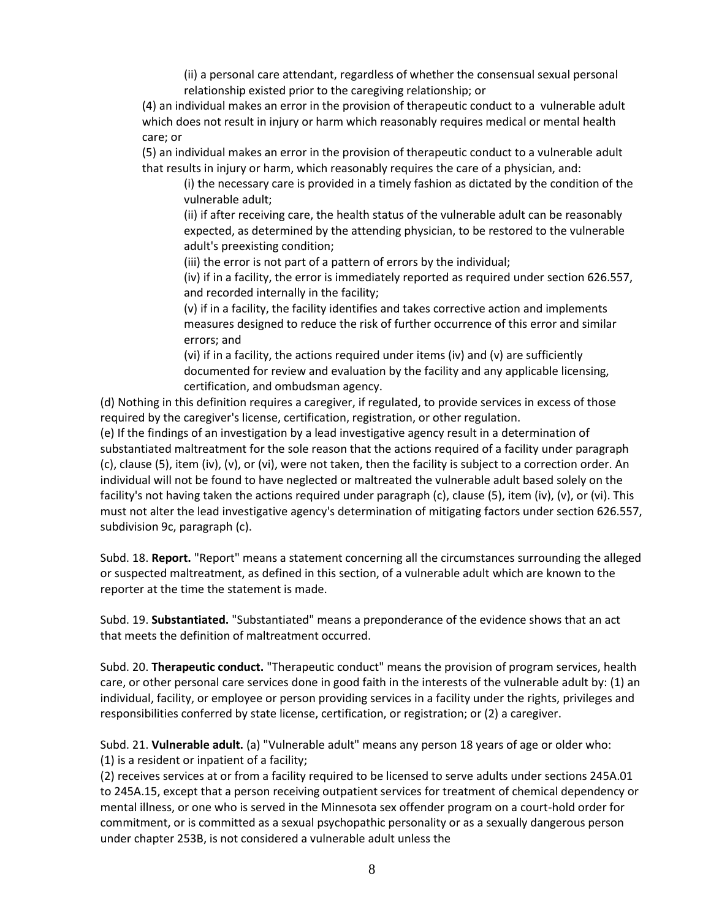(ii) a personal care attendant, regardless of whether the consensual sexual personal relationship existed prior to the caregiving relationship; or

(4) an individual makes an error in the provision of therapeutic conduct to a vulnerable adult which does not result in injury or harm which reasonably requires medical or mental health care; or

(5) an individual makes an error in the provision of therapeutic conduct to a vulnerable adult that results in injury or harm, which reasonably requires the care of a physician, and:

(i) the necessary care is provided in a timely fashion as dictated by the condition of the vulnerable adult;

(ii) if after receiving care, the health status of the vulnerable adult can be reasonably expected, as determined by the attending physician, to be restored to the vulnerable adult's preexisting condition;

(iii) the error is not part of a pattern of errors by the individual;

(iv) if in a facility, the error is immediately reported as required under section 626.557, and recorded internally in the facility;

(v) if in a facility, the facility identifies and takes corrective action and implements measures designed to reduce the risk of further occurrence of this error and similar errors; and

(vi) if in a facility, the actions required under items (iv) and (v) are sufficiently documented for review and evaluation by the facility and any applicable licensing, certification, and ombudsman agency.

(d) Nothing in this definition requires a caregiver, if regulated, to provide services in excess of those required by the caregiver's license, certification, registration, or other regulation.

(e) If the findings of an investigation by a lead investigative agency result in a determination of substantiated maltreatment for the sole reason that the actions required of a facility under paragraph (c), clause (5), item (iv), (v), or (vi), were not taken, then the facility is subject to a correction order. An individual will not be found to have neglected or maltreated the vulnerable adult based solely on the facility's not having taken the actions required under paragraph (c), clause (5), item (iv), (v), or (vi). This must not alter the lead investigative agency's determination of mitigating factors under section 626.557, subdivision 9c, paragraph (c).

Subd. 18. **Report.** "Report" means a statement concerning all the circumstances surrounding the alleged or suspected maltreatment, as defined in this section, of a vulnerable adult which are known to the reporter at the time the statement is made.

Subd. 19. **Substantiated.** "Substantiated" means a preponderance of the evidence shows that an act that meets the definition of maltreatment occurred.

Subd. 20. **Therapeutic conduct.** "Therapeutic conduct" means the provision of program services, health care, or other personal care services done in good faith in the interests of the vulnerable adult by: (1) an individual, facility, or employee or person providing services in a facility under the rights, privileges and responsibilities conferred by state license, certification, or registration; or (2) a caregiver.

Subd. 21. **Vulnerable adult.** (a) "Vulnerable adult" means any person 18 years of age or older who: (1) is a resident or inpatient of a facility;

(2) receives services at or from a facility required to be licensed to serve adults under sections 245A.01 to 245A.15, except that a person receiving outpatient services for treatment of chemical dependency or mental illness, or one who is served in the Minnesota sex offender program on a court-hold order for commitment, or is committed as a sexual psychopathic personality or as a sexually dangerous person under chapter 253B, is not considered a vulnerable adult unless the